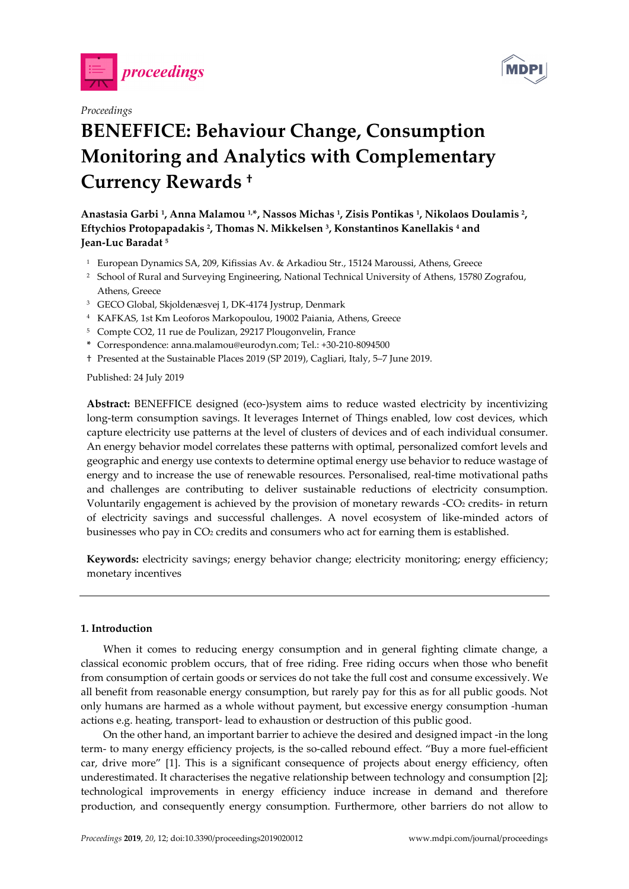



# *Proceedings*  **BENEFFICE: Behaviour Change, Consumption Monitoring and Analytics with Complementary Currency Rewards †**

**Anastasia Garbi 1, Anna Malamou 1,\*, Nassos Michas 1, Zisis Pontikas 1, Nikolaos Doulamis 2, Eftychios Protopapadakis 2, Thomas N. Mikkelsen 3, Konstantinos Kanellakis 4 and Jean-Luc Baradat 5** 

- 1 European Dynamics SA, 209, Kifissias Av. & Arkadiou Str., 15124 Maroussi, Athens, Greece
- <sup>2</sup> School of Rural and Surveying Engineering, National Technical University of Athens, 15780 Zografou, Athens, Greece
- 3 GECO Global, Skjoldenæsvej 1, DK-4174 Jystrup, Denmark
- 4 KAFKAS, 1st Km Leoforos Markopoulou, 19002 Paiania, Athens, Greece
- 5 Compte CO2, 11 rue de Poulizan, 29217 Plougonvelin, France
- **\*** Correspondence: anna.malamou@eurodyn.com; Tel.: +30-210-8094500
- † Presented at the Sustainable Places 2019 (SP 2019), Cagliari, Italy, 5–7 June 2019.

Published: 24 July 2019

**Abstract:** BENEFFICE designed (eco-)system aims to reduce wasted electricity by incentivizing long-term consumption savings. It leverages Internet of Things enabled, low cost devices, which capture electricity use patterns at the level of clusters of devices and of each individual consumer. An energy behavior model correlates these patterns with optimal, personalized comfort levels and geographic and energy use contexts to determine optimal energy use behavior to reduce wastage of energy and to increase the use of renewable resources. Personalised, real-time motivational paths and challenges are contributing to deliver sustainable reductions of electricity consumption. Voluntarily engagement is achieved by the provision of monetary rewards -CO2 credits- in return of electricity savings and successful challenges. A novel ecosystem of like-minded actors of businesses who pay in CO2 credits and consumers who act for earning them is established.

**Keywords:** electricity savings; energy behavior change; electricity monitoring; energy efficiency; monetary incentives

## **1. Introduction**

When it comes to reducing energy consumption and in general fighting climate change, a classical economic problem occurs, that of free riding. Free riding occurs when those who benefit from consumption of certain goods or services do not take the full cost and consume excessively. We all benefit from reasonable energy consumption, but rarely pay for this as for all public goods. Not only humans are harmed as a whole without payment, but excessive energy consumption -human actions e.g. heating, transport- lead to exhaustion or destruction of this public good.

On the other hand, an important barrier to achieve the desired and designed impact -in the long term- to many energy efficiency projects, is the so-called rebound effect. "Buy a more fuel-efficient car, drive more" [1]. This is a significant consequence of projects about energy efficiency, often underestimated. It characterises the negative relationship between technology and consumption [2]; technological improvements in energy efficiency induce increase in demand and therefore production, and consequently energy consumption. Furthermore, other barriers do not allow to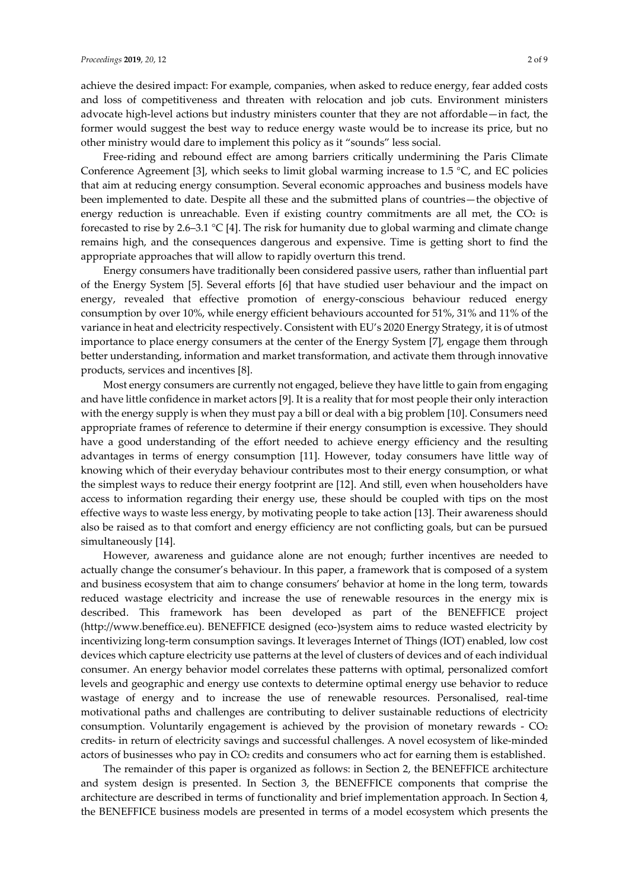achieve the desired impact: For example, companies, when asked to reduce energy, fear added costs and loss of competitiveness and threaten with relocation and job cuts. Environment ministers advocate high-level actions but industry ministers counter that they are not affordable—in fact, the former would suggest the best way to reduce energy waste would be to increase its price, but no other ministry would dare to implement this policy as it "sounds" less social.

Free-riding and rebound effect are among barriers critically undermining the Paris Climate Conference Agreement [3], which seeks to limit global warming increase to 1.5  $^{\circ}$ C, and EC policies that aim at reducing energy consumption. Several economic approaches and business models have been implemented to date. Despite all these and the submitted plans of countries—the objective of energy reduction is unreachable. Even if existing country commitments are all met, the  $CO<sub>2</sub>$  is forecasted to rise by 2.6–3.1  $\degree$ C [4]. The risk for humanity due to global warming and climate change remains high, and the consequences dangerous and expensive. Time is getting short to find the appropriate approaches that will allow to rapidly overturn this trend.

Energy consumers have traditionally been considered passive users, rather than influential part of the Energy System [5]. Several efforts [6] that have studied user behaviour and the impact on energy, revealed that effective promotion of energy-conscious behaviour reduced energy consumption by over 10%, while energy efficient behaviours accounted for 51%, 31% and 11% of the variance in heat and electricity respectively. Consistent with EU's 2020 Energy Strategy, it is of utmost importance to place energy consumers at the center of the Energy System [7], engage them through better understanding, information and market transformation, and activate them through innovative products, services and incentives [8].

Most energy consumers are currently not engaged, believe they have little to gain from engaging and have little confidence in market actors [9]. It is a reality that for most people their only interaction with the energy supply is when they must pay a bill or deal with a big problem [10]. Consumers need appropriate frames of reference to determine if their energy consumption is excessive. They should have a good understanding of the effort needed to achieve energy efficiency and the resulting advantages in terms of energy consumption [11]. However, today consumers have little way of knowing which of their everyday behaviour contributes most to their energy consumption, or what the simplest ways to reduce their energy footprint are [12]. And still, even when householders have access to information regarding their energy use, these should be coupled with tips on the most effective ways to waste less energy, by motivating people to take action [13]. Their awareness should also be raised as to that comfort and energy efficiency are not conflicting goals, but can be pursued simultaneously [14].

However, awareness and guidance alone are not enough; further incentives are needed to actually change the consumer's behaviour. In this paper, a framework that is composed of a system and business ecosystem that aim to change consumers' behavior at home in the long term, towards reduced wastage electricity and increase the use of renewable resources in the energy mix is described. This framework has been developed as part of the BENEFFICE project (http://www.beneffice.eu). BENEFFICE designed (eco-)system aims to reduce wasted electricity by incentivizing long-term consumption savings. It leverages Internet of Things (IOT) enabled, low cost devices which capture electricity use patterns at the level of clusters of devices and of each individual consumer. An energy behavior model correlates these patterns with optimal, personalized comfort levels and geographic and energy use contexts to determine optimal energy use behavior to reduce wastage of energy and to increase the use of renewable resources. Personalised, real-time motivational paths and challenges are contributing to deliver sustainable reductions of electricity consumption. Voluntarily engagement is achieved by the provision of monetary rewards -  $CO<sub>2</sub>$ credits- in return of electricity savings and successful challenges. A novel ecosystem of like-minded actors of businesses who pay in CO<sub>2</sub> credits and consumers who act for earning them is established.

The remainder of this paper is organized as follows: in Section 2, the BENEFFICE architecture and system design is presented. In Section 3, the BENEFFICE components that comprise the architecture are described in terms of functionality and brief implementation approach. In Section 4, the BENEFFICE business models are presented in terms of a model ecosystem which presents the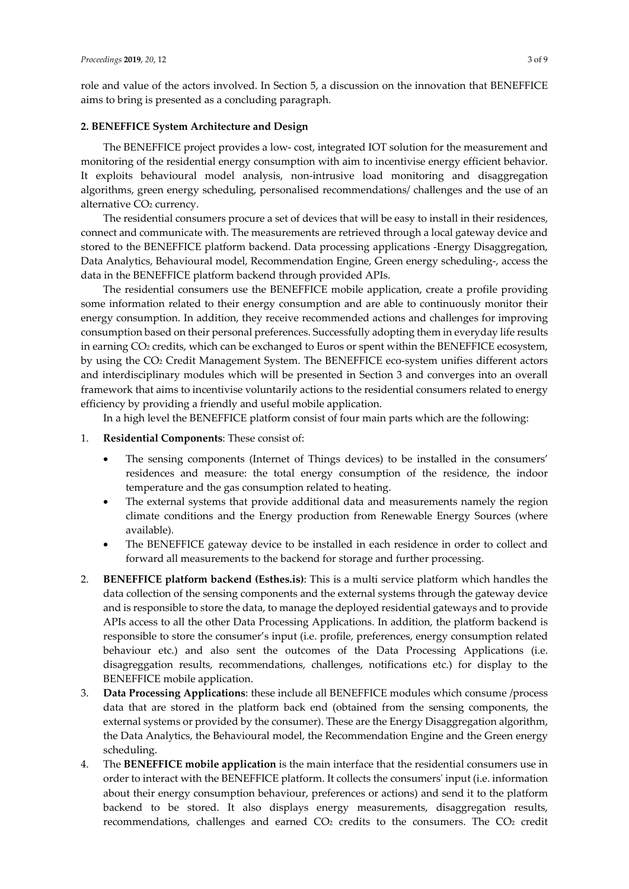role and value of the actors involved. In Section 5, a discussion on the innovation that BENEFFICE aims to bring is presented as a concluding paragraph.

### **2. BENEFFICE System Architecture and Design**

The BENEFFICE project provides a low- cost, integrated IOT solution for the measurement and monitoring of the residential energy consumption with aim to incentivise energy efficient behavior. It exploits behavioural model analysis, non-intrusive load monitoring and disaggregation algorithms, green energy scheduling, personalised recommendations/ challenges and the use of an alternative CO<sub>2</sub> currency.

The residential consumers procure a set of devices that will be easy to install in their residences, connect and communicate with. The measurements are retrieved through a local gateway device and stored to the BENEFFICE platform backend. Data processing applications -Energy Disaggregation, Data Analytics, Behavioural model, Recommendation Engine, Green energy scheduling-, access the data in the BENEFFICE platform backend through provided APIs.

The residential consumers use the BENEFFICE mobile application, create a profile providing some information related to their energy consumption and are able to continuously monitor their energy consumption. In addition, they receive recommended actions and challenges for improving consumption based on their personal preferences. Successfully adopting them in everyday life results in earning CO2 credits, which can be exchanged to Euros or spent within the BENEFFICE ecosystem, by using the CO2 Credit Management System. The BENEFFICE eco-system unifies different actors and interdisciplinary modules which will be presented in Section 3 and converges into an overall framework that aims to incentivise voluntarily actions to the residential consumers related to energy efficiency by providing a friendly and useful mobile application.

In a high level the BENEFFICE platform consist of four main parts which are the following:

### 1. **Residential Components**: These consist of:

- The sensing components (Internet of Things devices) to be installed in the consumers' residences and measure: the total energy consumption of the residence, the indoor temperature and the gas consumption related to heating.
- The external systems that provide additional data and measurements namely the region climate conditions and the Energy production from Renewable Energy Sources (where available).
- The BENEFFICE gateway device to be installed in each residence in order to collect and forward all measurements to the backend for storage and further processing.
- 2. **BENEFFICE platform backend (Esthes.is)**: This is a multi service platform which handles the data collection of the sensing components and the external systems through the gateway device and is responsible to store the data, to manage the deployed residential gateways and to provide APIs access to all the other Data Processing Applications. In addition, the platform backend is responsible to store the consumer's input (i.e. profile, preferences, energy consumption related behaviour etc.) and also sent the outcomes of the Data Processing Applications (i.e. disagreggation results, recommendations, challenges, notifications etc.) for display to the BENEFFICE mobile application.
- 3. **Data Processing Applications**: these include all BENEFFICE modules which consume /process data that are stored in the platform back end (obtained from the sensing components, the external systems or provided by the consumer). These are the Energy Disaggregation algorithm, the Data Analytics, the Behavioural model, the Recommendation Engine and the Green energy scheduling.
- 4. The **BENEFFICE mobile application** is the main interface that the residential consumers use in order to interact with the BENEFFICE platform. It collects the consumers' input (i.e. information about their energy consumption behaviour, preferences or actions) and send it to the platform backend to be stored. It also displays energy measurements, disaggregation results, recommendations, challenges and earned  $CO<sub>2</sub>$  credits to the consumers. The  $CO<sub>2</sub>$  credit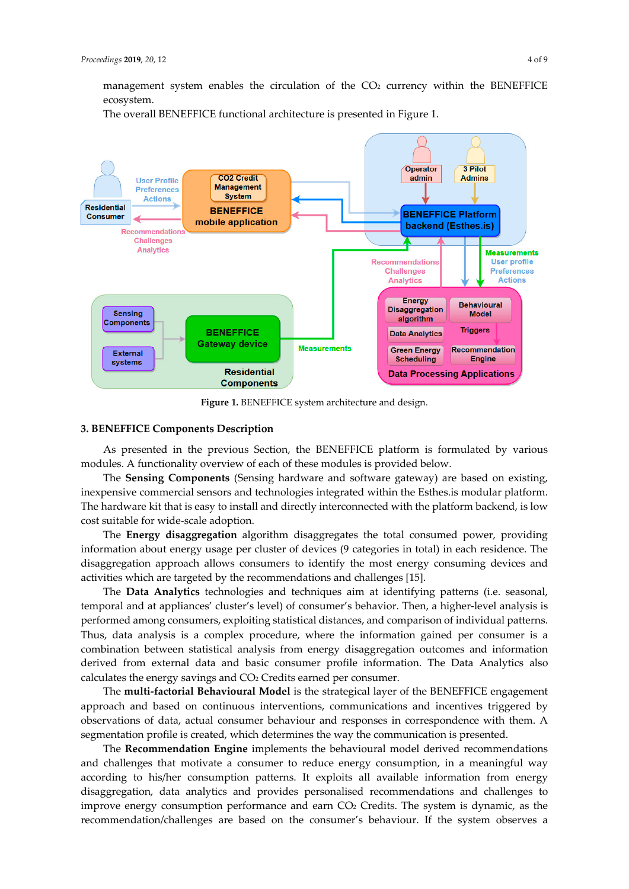management system enables the circulation of the CO<sub>2</sub> currency within the BENEFFICE ecosystem.

The overall BENEFFICE functional architecture is presented in Figure 1.



**Figure 1.** BENEFFICE system architecture and design.

#### **3. BENEFFICE Components Description**

As presented in the previous Section, the BENEFFICE platform is formulated by various modules. A functionality overview of each of these modules is provided below.

The **Sensing Components** (Sensing hardware and software gateway) are based on existing, inexpensive commercial sensors and technologies integrated within the Esthes.is modular platform. The hardware kit that is easy to install and directly interconnected with the platform backend, is low cost suitable for wide-scale adoption.

The **Energy disaggregation** algorithm disaggregates the total consumed power, providing information about energy usage per cluster of devices (9 categories in total) in each residence. The disaggregation approach allows consumers to identify the most energy consuming devices and activities which are targeted by the recommendations and challenges [15].

The **Data Analytics** technologies and techniques aim at identifying patterns (i.e. seasonal, temporal and at appliances' cluster's level) of consumer's behavior. Then, a higher-level analysis is performed among consumers, exploiting statistical distances, and comparison of individual patterns. Thus, data analysis is a complex procedure, where the information gained per consumer is a combination between statistical analysis from energy disaggregation outcomes and information derived from external data and basic consumer profile information. The Data Analytics also calculates the energy savings and CO2 Credits earned per consumer.

The **multi-factorial Behavioural Model** is the strategical layer of the BENEFFICE engagement approach and based on continuous interventions, communications and incentives triggered by observations of data, actual consumer behaviour and responses in correspondence with them. A segmentation profile is created, which determines the way the communication is presented.

The **Recommendation Engine** implements the behavioural model derived recommendations and challenges that motivate a consumer to reduce energy consumption, in a meaningful way according to his/her consumption patterns. It exploits all available information from energy disaggregation, data analytics and provides personalised recommendations and challenges to improve energy consumption performance and earn  $CO<sub>2</sub>$  Credits. The system is dynamic, as the recommendation/challenges are based on the consumer's behaviour. If the system observes a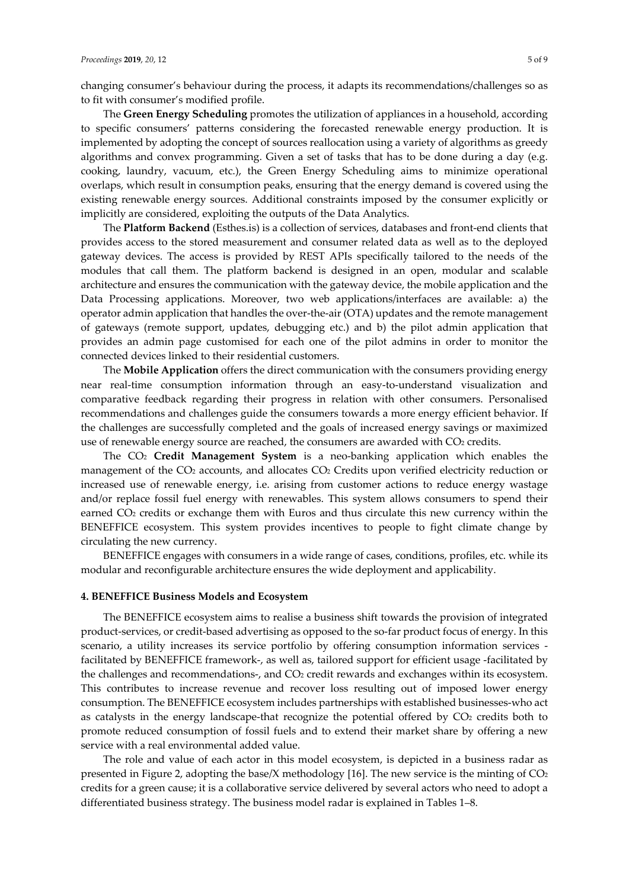changing consumer's behaviour during the process, it adapts its recommendations/challenges so as to fit with consumer's modified profile.

The **Green Energy Scheduling** promotes the utilization of appliances in a household, according to specific consumers' patterns considering the forecasted renewable energy production. It is implemented by adopting the concept of sources reallocation using a variety of algorithms as greedy algorithms and convex programming. Given a set of tasks that has to be done during a day (e.g. cooking, laundry, vacuum, etc.), the Green Energy Scheduling aims to minimize operational overlaps, which result in consumption peaks, ensuring that the energy demand is covered using the existing renewable energy sources. Additional constraints imposed by the consumer explicitly or implicitly are considered, exploiting the outputs of the Data Analytics.

The **Platform Backend** (Esthes.is) is a collection of services, databases and front-end clients that provides access to the stored measurement and consumer related data as well as to the deployed gateway devices. The access is provided by REST APIs specifically tailored to the needs of the modules that call them. The platform backend is designed in an open, modular and scalable architecture and ensures the communication with the gateway device, the mobile application and the Data Processing applications. Moreover, two web applications/interfaces are available: a) the operator admin application that handles the over-the-air (OTA) updates and the remote management of gateways (remote support, updates, debugging etc.) and b) the pilot admin application that provides an admin page customised for each one of the pilot admins in order to monitor the connected devices linked to their residential customers.

The **Mobile Application** offers the direct communication with the consumers providing energy near real-time consumption information through an easy-to-understand visualization and comparative feedback regarding their progress in relation with other consumers. Personalised recommendations and challenges guide the consumers towards a more energy efficient behavior. If the challenges are successfully completed and the goals of increased energy savings or maximized use of renewable energy source are reached, the consumers are awarded with  $CO<sub>2</sub>$  credits.

The CO2 **Credit Management System** is a neo-banking application which enables the management of the CO2 accounts, and allocates CO2 Credits upon verified electricity reduction or increased use of renewable energy, i.e. arising from customer actions to reduce energy wastage and/or replace fossil fuel energy with renewables. This system allows consumers to spend their earned CO2 credits or exchange them with Euros and thus circulate this new currency within the BENEFFICE ecosystem. This system provides incentives to people to fight climate change by circulating the new currency.

BENEFFICE engages with consumers in a wide range of cases, conditions, profiles, etc. while its modular and reconfigurable architecture ensures the wide deployment and applicability.

#### **4. BENEFFICE Business Models and Ecosystem**

The BENEFFICE ecosystem aims to realise a business shift towards the provision of integrated product-services, or credit-based advertising as opposed to the so-far product focus of energy. In this scenario, a utility increases its service portfolio by offering consumption information services facilitated by BENEFFICE framework-, as well as, tailored support for efficient usage -facilitated by the challenges and recommendations-, and CO<sub>2</sub> credit rewards and exchanges within its ecosystem. This contributes to increase revenue and recover loss resulting out of imposed lower energy consumption. The BENEFFICE ecosystem includes partnerships with established businesses-who act as catalysts in the energy landscape-that recognize the potential offered by CO<sub>2</sub> credits both to promote reduced consumption of fossil fuels and to extend their market share by offering a new service with a real environmental added value.

The role and value of each actor in this model ecosystem, is depicted in a business radar as presented in Figure 2, adopting the base/X methodology [16]. The new service is the minting of  $CO<sub>2</sub>$ credits for a green cause; it is a collaborative service delivered by several actors who need to adopt a differentiated business strategy. The business model radar is explained in Tables 1–8.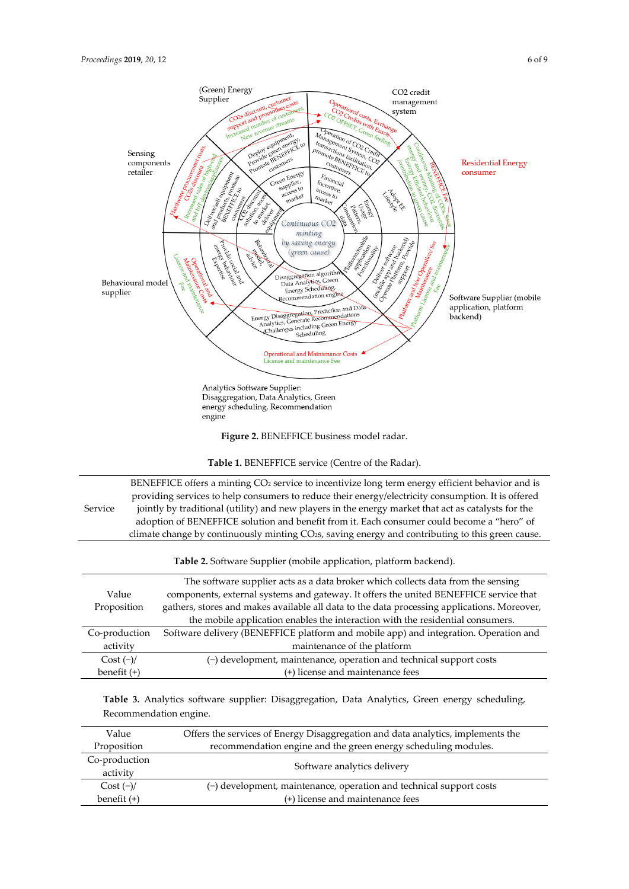

**Table 1.** BENEFFICE service (Centre of the Radar).

| BENEFFICE offers a minting CO <sub>2</sub> service to incentivize long term energy efficient behavior and is |
|--------------------------------------------------------------------------------------------------------------|
| providing services to help consumers to reduce their energy/electricity consumption. It is offered           |
| jointly by traditional (utility) and new players in the energy market that act as catalysts for the          |
| adoption of BENEFFICE solution and benefit from it. Each consumer could become a "hero" of                   |
| climate change by continuously minting CO2s, saving energy and contributing to this green cause.             |
|                                                                                                              |

**Table 2.** Software Supplier (mobile application, platform backend).

|               | The software supplier acts as a data broker which collects data from the sensing            |
|---------------|---------------------------------------------------------------------------------------------|
| Value         | components, external systems and gateway. It offers the united BENEFFICE service that       |
| Proposition   | gathers, stores and makes available all data to the data processing applications. Moreover, |
|               | the mobile application enables the interaction with the residential consumers.              |
| Co-production | Software delivery (BENEFFICE platform and mobile app) and integration. Operation and        |
| activity      | maintenance of the platform                                                                 |
| $Cost (-)/$   | (-) development, maintenance, operation and technical support costs                         |
| benefit $(+)$ | (+) license and maintenance fees                                                            |

**Table 3.** Analytics software supplier: Disaggregation, Data Analytics, Green energy scheduling, Recommendation engine.

| Value                     | Offers the services of Energy Disaggregation and data analytics, implements the |
|---------------------------|---------------------------------------------------------------------------------|
| Proposition               | recommendation engine and the green energy scheduling modules.                  |
| Co-production<br>activity | Software analytics delivery                                                     |
| $Cost (-)/$               | (-) development, maintenance, operation and technical support costs             |
| benefit $(+)$             | (+) license and maintenance fees                                                |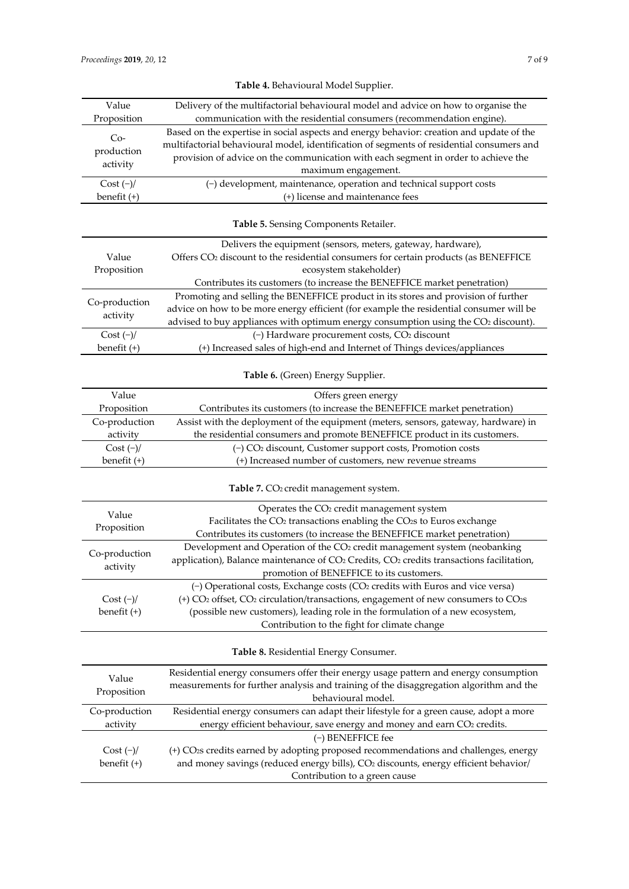| Value                                 | Delivery of the multifactorial behavioural model and advice on how to organise the                                                                                                    |  |  |
|---------------------------------------|---------------------------------------------------------------------------------------------------------------------------------------------------------------------------------------|--|--|
| Proposition                           | communication with the residential consumers (recommendation engine).                                                                                                                 |  |  |
| $Co-$                                 | Based on the expertise in social aspects and energy behavior: creation and update of the<br>multifactorial behavioural model, identification of segments of residential consumers and |  |  |
| production                            | provision of advice on the communication with each segment in order to achieve the                                                                                                    |  |  |
| activity                              | maximum engagement.                                                                                                                                                                   |  |  |
| $Cost (-)/$                           | (-) development, maintenance, operation and technical support costs                                                                                                                   |  |  |
| benefit (+)                           | (+) license and maintenance fees                                                                                                                                                      |  |  |
|                                       |                                                                                                                                                                                       |  |  |
| Table 5. Sensing Components Retailer. |                                                                                                                                                                                       |  |  |
|                                       | Delivers the equipment (sensors, meters, gateway, hardware),                                                                                                                          |  |  |
| Value<br>Proposition                  | Offers CO <sub>2</sub> discount to the residential consumers for certain products (as BENEFFICE                                                                                       |  |  |
|                                       | ecosystem stakeholder)                                                                                                                                                                |  |  |
|                                       | Contributes its customers (to increase the BENEFFICE market penetration)                                                                                                              |  |  |
| Co-production                         | Promoting and selling the BENEFFICE product in its stores and provision of further                                                                                                    |  |  |
| activity                              | advice on how to be more energy efficient (for example the residential consumer will be                                                                                               |  |  |
|                                       | advised to buy appliances with optimum energy consumption using the CO2 discount).                                                                                                    |  |  |
| $Cost (-)/$                           | (-) Hardware procurement costs, CO2 discount                                                                                                                                          |  |  |
| benefit (+)                           | (+) Increased sales of high-end and Internet of Things devices/appliances                                                                                                             |  |  |
|                                       | Table 6. (Green) Energy Supplier.                                                                                                                                                     |  |  |
| Value                                 | Offers green energy                                                                                                                                                                   |  |  |
| Proposition                           | Contributes its customers (to increase the BENEFFICE market penetration)                                                                                                              |  |  |
| Co-production                         | Assist with the deployment of the equipment (meters, sensors, gateway, hardware) in                                                                                                   |  |  |
| activity                              | the residential consumers and promote BENEFFICE product in its customers.                                                                                                             |  |  |
| $Cost (-)/$                           | (-) CO <sub>2</sub> discount, Customer support costs, Promotion costs                                                                                                                 |  |  |
| benefit (+)                           | (+) Increased number of customers, new revenue streams                                                                                                                                |  |  |
|                                       | Table 7. CO <sub>2</sub> credit management system.                                                                                                                                    |  |  |
|                                       | Operates the CO <sub>2</sub> credit management system                                                                                                                                 |  |  |
| Value                                 | Facilitates the CO <sub>2</sub> transactions enabling the CO <sub>2</sub> s to Euros exchange                                                                                         |  |  |
| Proposition                           | Contributes its customers (to increase the BENEFFICE market penetration)                                                                                                              |  |  |
|                                       | Development and Operation of the CO <sub>2</sub> credit management system (neobanking                                                                                                 |  |  |
| Co-production                         | application), Balance maintenance of CO <sub>2</sub> Credits, CO <sub>2</sub> credits transactions facilitation,                                                                      |  |  |
| activity                              | promotion of BENEFFICE to its customers.                                                                                                                                              |  |  |
|                                       | (-) Operational costs, Exchange costs (CO <sub>2</sub> credits with Euros and vice versa)                                                                                             |  |  |
| $Cost (-)/$                           | (+) CO <sub>2</sub> offset, CO <sub>2</sub> circulation/transactions, engagement of new consumers to CO <sub>2S</sub>                                                                 |  |  |
| benefit (+)                           | (possible new customers), leading role in the formulation of a new ecosystem,                                                                                                         |  |  |
|                                       | Contribution to the fight for climate change                                                                                                                                          |  |  |
| Table 8. Residential Energy Consumer. |                                                                                                                                                                                       |  |  |
|                                       | Residential energy consumers offer their energy usage pattern and energy consumption                                                                                                  |  |  |
| Value                                 | measurements for further analysis and training of the disaggregation algorithm and the                                                                                                |  |  |
| Proposition                           | behavioural model.                                                                                                                                                                    |  |  |
| Co-production<br>activity             | Residential energy consumers can adapt their lifestyle for a green cause, adopt a more                                                                                                |  |  |
|                                       | energy efficient behaviour, save energy and money and earn CO2 credits.                                                                                                               |  |  |
|                                       | (-) BENEFFICE fee                                                                                                                                                                     |  |  |
| $Cost (-)/$                           | (+) CO2s credits earned by adopting proposed recommendations and challenges, energy                                                                                                   |  |  |
| benefit (+)                           | and money savings (reduced energy bills), CO2 discounts, energy efficient behavior/                                                                                                   |  |  |
|                                       | Contribution to a green cause                                                                                                                                                         |  |  |
|                                       |                                                                                                                                                                                       |  |  |

**Table 4.** Behavioural Model Supplier.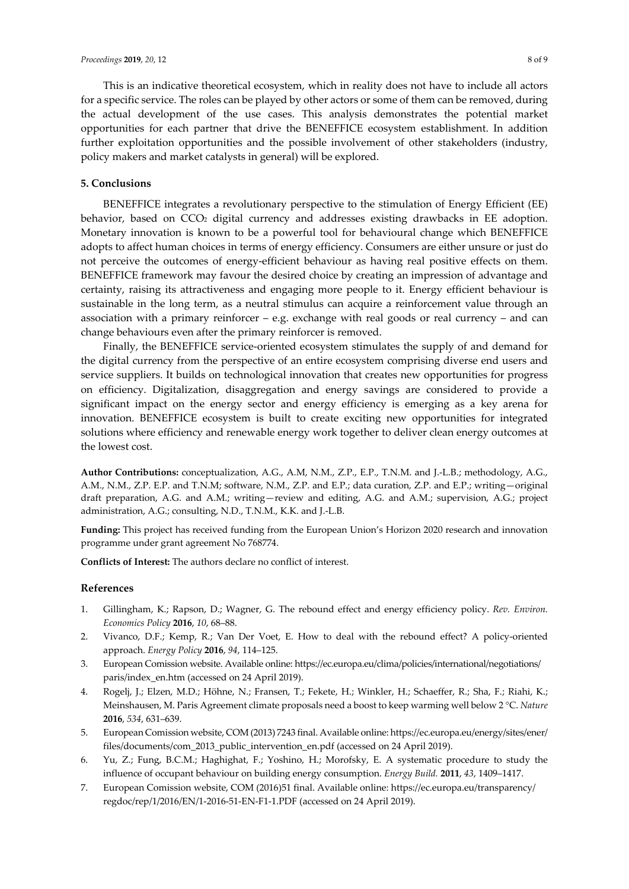This is an indicative theoretical ecosystem, which in reality does not have to include all actors for a specific service. The roles can be played by other actors or some of them can be removed, during the actual development of the use cases. This analysis demonstrates the potential market opportunities for each partner that drive the BENEFFICE ecosystem establishment. In addition further exploitation opportunities and the possible involvement of other stakeholders (industry, policy makers and market catalysts in general) will be explored.

#### **5. Conclusions**

BENEFFICE integrates a revolutionary perspective to the stimulation of Energy Efficient (EE) behavior, based on CCO2 digital currency and addresses existing drawbacks in EE adoption. Monetary innovation is known to be a powerful tool for behavioural change which BENEFFICE adopts to affect human choices in terms of energy efficiency. Consumers are either unsure or just do not perceive the outcomes of energy-efficient behaviour as having real positive effects on them. BENEFFICE framework may favour the desired choice by creating an impression of advantage and certainty, raising its attractiveness and engaging more people to it. Energy efficient behaviour is sustainable in the long term, as a neutral stimulus can acquire a reinforcement value through an association with a primary reinforcer  $-$  e.g. exchange with real goods or real currency  $-$  and can change behaviours even after the primary reinforcer is removed.

Finally, the BENEFFICE service-oriented ecosystem stimulates the supply of and demand for the digital currency from the perspective of an entire ecosystem comprising diverse end users and service suppliers. It builds on technological innovation that creates new opportunities for progress on efficiency. Digitalization, disaggregation and energy savings are considered to provide a significant impact on the energy sector and energy efficiency is emerging as a key arena for innovation. BENEFFICE ecosystem is built to create exciting new opportunities for integrated solutions where efficiency and renewable energy work together to deliver clean energy outcomes at the lowest cost.

**Author Contributions:** conceptualization, A.G., A.M, N.M., Z.P., E.P., T.N.M. and J.-L.B.; methodology, A.G., A.M., N.M., Z.P. E.P. and T.N.M; software, N.M., Z.P. and E.P.; data curation, Z.P. and E.P.; writing—original draft preparation, A.G. and A.M.; writing—review and editing, A.G. and A.M.; supervision, A.G.; project administration, A.G.; consulting, N.D., T.N.M., K.K. and J.-L.B.

**Funding:** This project has received funding from the European Union's Horizon 2020 research and innovation programme under grant agreement No 768774.

**Conflicts of Interest:** The authors declare no conflict of interest.

### **References**

- 1. Gillingham, K.; Rapson, D.; Wagner, G. The rebound effect and energy efficiency policy. *Rev. Environ. Economics Policy* **2016**, *10*, 68–88.
- 2. Vivanco, D.F.; Kemp, R.; Van Der Voet, E. How to deal with the rebound effect? A policy-oriented approach. *Energy Policy* **2016**, *94*, 114–125.
- 3. European Comission website. Available online: https://ec.europa.eu/clima/policies/international/negotiations/ paris/index\_en.htm (accessed on 24 April 2019).
- 4. Rogelj, J.; Elzen, M.D.; Höhne, N.; Fransen, T.; Fekete, H.; Winkler, H.; Schaeffer, R.; Sha, F.; Riahi, K.; Meinshausen, M. Paris Agreement climate proposals need a boost to keep warming well below 2 °C. *Nature* **2016**, *534*, 631–639.
- 5. European Comission website, COM (2013) 7243 final. Available online: https://ec.europa.eu/energy/sites/ener/ files/documents/com\_2013\_public\_intervention\_en.pdf (accessed on 24 April 2019).
- 6. Yu, Z.; Fung, B.C.M.; Haghighat, F.; Yoshino, H.; Morofsky, E. A systematic procedure to study the influence of occupant behaviour on building energy consumption. *Energy Build.* **2011**, *43*, 1409–1417.
- 7. European Comission website, COM (2016)51 final. Available online: https://ec.europa.eu/transparency/ regdoc/rep/1/2016/EN/1-2016-51-EN-F1-1.PDF (accessed on 24 April 2019).